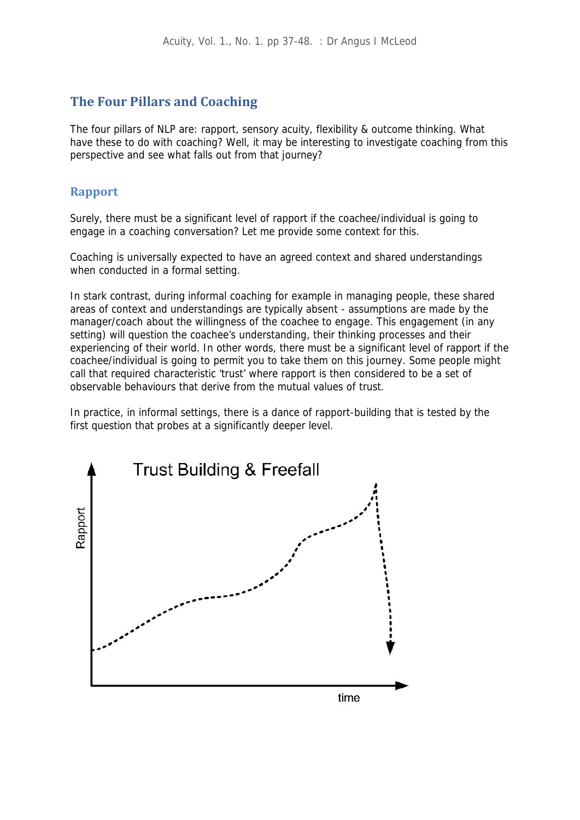# **The Four Pillars and Coaching**

The four pillars of NLP are: rapport, sensory acuity, flexibility & outcome thinking. What have these to do with coaching? Well, it may be interesting to investigate coaching from this perspective and see what falls out from that journey?

## **Rapport**

Surely, there must be a significant level of rapport if the coachee/individual is going to engage in a coaching conversation? Let me provide some context for this.

Coaching is universally expected to have an agreed context and shared understandings when conducted in a formal setting.

In stark contrast, during informal coaching for example in managing people, these shared areas of context and understandings are typically absent - assumptions are made by the manager/coach about the willingness of the coachee to engage. This engagement (in any setting) will question the coachee's understanding, their thinking processes and their experiencing of their world. In other words, there must be a significant level of rapport if the coachee/individual is going to permit you to take them on this journey. Some people might call that required characteristic 'trust' where rapport is then considered to be a set of observable behaviours that derive from the mutual values of trust.

In practice, in informal settings, there is a dance of rapport-building that is tested by the first question that probes at a significantly deeper level.

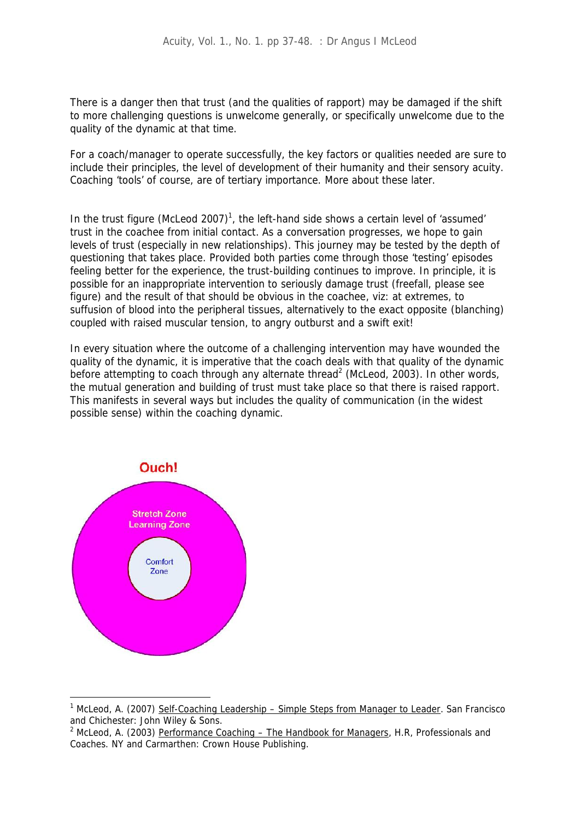There is a danger then that trust (and the qualities of rapport) may be damaged if the shift to more challenging questions is unwelcome generally, or specifically unwelcome due to the quality of the dynamic at that time.

For a coach/manager to operate successfully, the key factors or qualities needed are sure to include their principles, the level of development of their humanity and their sensory acuity. Coaching 'tools' of course, are of tertiary importance. More about these later.

In the trust figure (McLeod 2007)<sup>1</sup>, the left-hand side shows a certain level of 'assumed' trust in the coachee from initial contact. As a conversation progresses, we hope to gain levels of trust (especially in new relationships). This journey may be tested by the depth of questioning that takes place. Provided both parties come through those 'testing' episodes feeling better for the experience, the trust-building continues to improve. In principle, it is possible for an inappropriate intervention to seriously damage trust (freefall, please see figure) and the result of that should be obvious in the coachee, viz: at extremes, to suffusion of blood into the peripheral tissues, alternatively to the exact opposite (blanching) coupled with raised muscular tension, to angry outburst and a swift exit!

In every situation where the outcome of a challenging intervention may have wounded the quality of the dynamic, it is imperative that the coach deals with that quality of the dynamic before attempting to coach through any alternate thread<sup>2</sup> (McLeod, 2003). In other words, the mutual generation and building of trust must take place so that there is raised rapport. This manifests in several ways but includes the quality of communication (in the widest possible sense) within the coaching dynamic.



<sup>1</sup> McLeod, A. (2007) Self-Coaching Leadership – Simple Steps from Manager to Leader. San Francisco and Chichester: John Wiley & Sons.

<sup>&</sup>lt;sup>2</sup> McLeod, A. (2003) Performance Coaching – The Handbook for Managers, H.R, Professionals and Coaches. NY and Carmarthen: Crown House Publishing.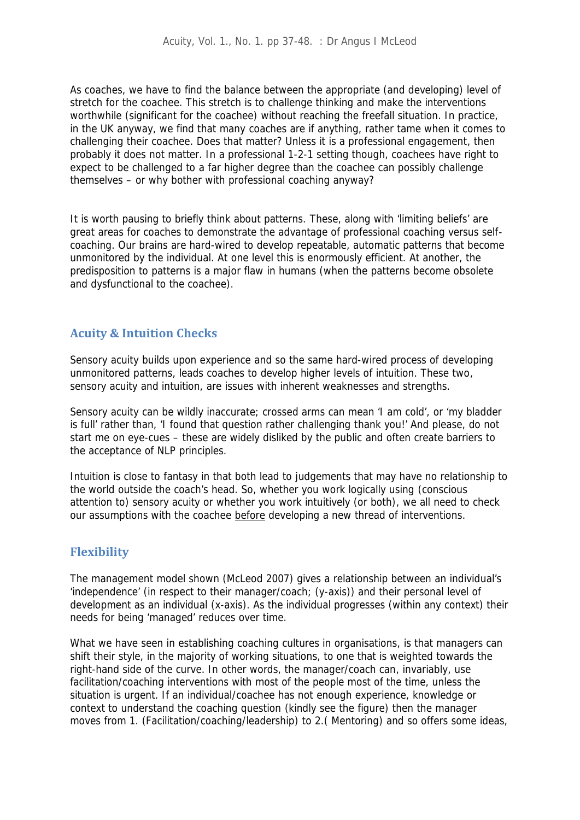As coaches, we have to find the balance between the appropriate (and developing) level of stretch for the coachee. This stretch is to challenge thinking and make the interventions worthwhile (significant for the coachee) without reaching the freefall situation. In practice, in the UK anyway, we find that many coaches are if anything, rather tame when it comes to challenging their coachee. Does that matter? Unless it is a professional engagement, then probably it does not matter. In a professional 1-2-1 setting though, coachees have right to expect to be challenged to a far higher degree than the coachee can possibly challenge themselves – or why bother with professional coaching anyway?

It is worth pausing to briefly think about patterns. These, along with 'limiting beliefs' are great areas for coaches to demonstrate the advantage of professional coaching versus self coaching. Our brains are hard-wired to develop repeatable, automatic patterns that become unmonitored by the individual. At one level this is enormously efficient. At another, the predisposition to patterns is a major flaw in humans (when the patterns become obsolete and dysfunctional to the coachee).

## **Acuity & Intuition Checks**

Sensory acuity builds upon experience and so the same hard-wired process of developing unmonitored patterns, leads coaches to develop higher levels of intuition. These two, sensory acuity and intuition, are issues with inherent weaknesses and strengths.

Sensory acuity can be wildly inaccurate; crossed arms can mean 'I am cold', or 'my bladder is full' rather than, 'I found that question rather challenging thank you!' And please, do not start me on eye-cues – these are widely disliked by the public and often create barriers to the acceptance of NLP principles.

Intuition is close to fantasy in that both lead to judgements that may have no relationship to the world outside the coach's head. So, whether you work logically using (conscious attention to) sensory acuity or whether you work intuitively (or both), we all need to check our assumptions with the coachee before developing a new thread of interventions.

## **Flexibility**

The management model shown (McLeod 2007) gives a relationship between an individual's 'independence' (in respect to their manager/coach; (y-axis)) and their personal level of development as an individual (x-axis). As the individual progresses (within any context) their needs for being 'managed' reduces over time.

What we have seen in establishing coaching cultures in organisations, is that managers can shift their style, in the majority of working situations, to one that is weighted towards the right-hand side of the curve. In other words, the manager/coach can, invariably, use facilitation/coaching interventions with most of the people most of the time, unless the situation is urgent. If an individual/coachee has not enough experience, knowledge or context to understand the coaching question (kindly see the figure) then the manager moves from 1. (Facilitation/coaching/leadership) to 2.( Mentoring) and so offers some ideas,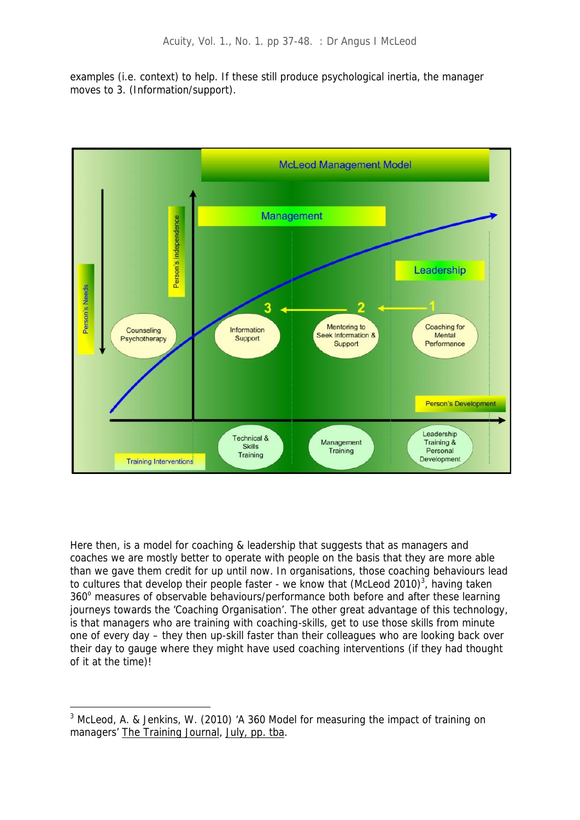examples (i.e. context) to help. If these still produce psychological inertia, the manager moves to 3. (Information/support).



Here then, is a model for coaching & leadership that suggests that as managers and coaches we are mostly better to operate with people on the basis that they are more able than we gave them credit for up until now. In organisations, those coaching behaviours lead to cultures that develop their people faster - we know that (McLeod 2010)<sup>3</sup>, having taken 360° measures of observable behaviours/performance both before and after these learning journeys towards the 'Coaching Organisation'. The other great advantage of this technology, is that managers who are training with coaching-skills, get to use those skills from minute one of every day – they then up-skill faster than their colleagues who are looking back over their day to gauge where they might have used coaching interventions (if they had thought of it at the time)!

<sup>&</sup>lt;sup>3</sup> McLeod, A. & Jenkins, W. (2010) 'A 360 Model for measuring the impact of training on managers' The Training Journal, July, pp. tba.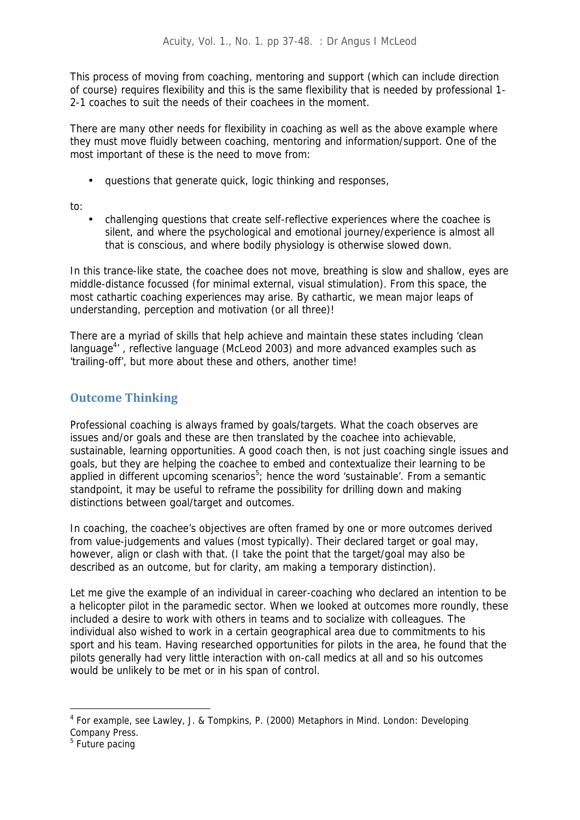This process of moving from coaching, mentoring and support (which can include direction of course) requires flexibility and this is the same flexibility that is needed by professional 1- 2-1 coaches to suit the needs of their coachees in the moment.

There are many other needs for flexibility in coaching as well as the above example where they must move fluidly between coaching, mentoring and information/support. One of the most important of these is the need to move from:

questions that generate quick, logic thinking and responses,

to:

 challenging questions that create self-reflective experiences where the coachee is silent, and where the psychological and emotional journey/experience is almost all that is conscious, and where bodily physiology is otherwise slowed down.

In this trance-like state, the coachee does not move, breathing is slow and shallow, eyes are middle-distance focussed (for minimal external, visual stimulation). From this space, the most cathartic coaching experiences may arise. By cathartic, we mean major leaps of understanding, perception and motivation (or all three)!

There are a myriad of skills that help achieve and maintain these states including 'clean language<sup>4</sup>', reflective language (McLeod 2003) and more advanced examples such as 'trailing-off', but more about these and others, another time!

# **Outcome Thinking**

Professional coaching is always framed by goals/targets. What the coach observes are issues and/or goals and these are then translated by the coachee into achievable, sustainable, learning opportunities. A good coach then, is not just coaching single issues and goals, but they are helping the coachee to embed and contextualize their learning to be applied in different upcoming scenarios<sup>5</sup>; hence the word 'sustainable'. From a semantic standpoint, it may be useful to reframe the possibility for drilling down and making distinctions between goal/target and outcomes.

In coaching, the coachee's objectives are often framed by one or more outcomes derived from value-judgements and values (most typically). Their declared target or goal may, however, align or clash with that. (I take the point that the target/goal may also be described as an outcome, but for clarity, am making a temporary distinction).

Let me give the example of an individual in career-coaching who declared an intention to be a helicopter pilot in the paramedic sector. When we looked at outcomes more roundly, these included a desire to work with others in teams and to socialize with colleagues. The individual also wished to work in a certain geographical area due to commitments to his sport and his team. Having researched opportunities for pilots in the area, he found that the pilots generally had very little interaction with on-call medics at all and so his outcomes would be unlikely to be met or in his span of control.

<sup>4</sup> For example, see Lawley, J. & Tompkins, P. (2000) Metaphors in Mind. London: Developing Company Press.

<sup>&</sup>lt;sup>5</sup> Future pacing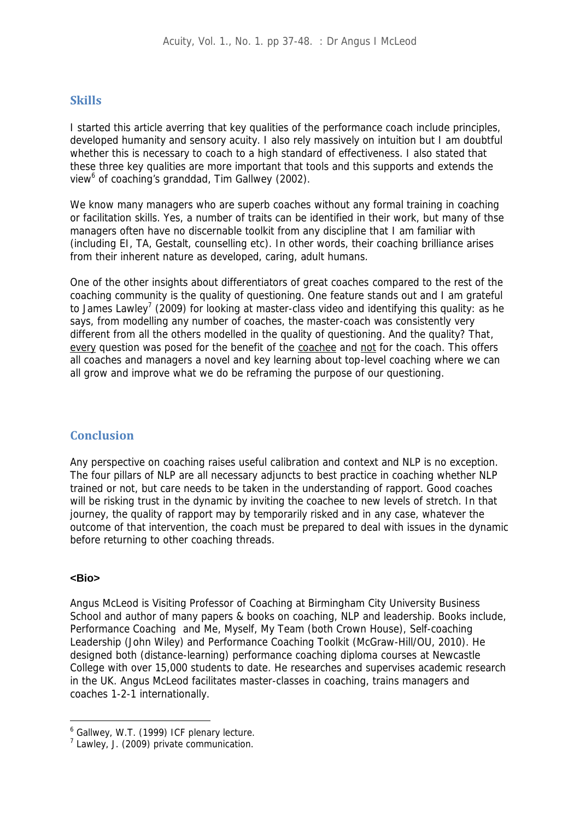### **Skills**

I started this article averring that key qualities of the performance coach include principles, developed humanity and sensory acuity. I also rely massively on intuition but I am doubtful whether this is necessary to coach to a high standard of effectiveness. I also stated that these three key qualities are more important that tools and this supports and extends the view<sup>6</sup> of coaching's granddad, Tim Gallwey (2002).

We know many managers who are superb coaches without any formal training in coaching or facilitation skills. Yes, a number of traits can be identified in their work, but many of thse managers often have no discernable toolkit from any discipline that I am familiar with (including EI, TA, Gestalt, counselling etc). In other words, their coaching brilliance arises from their inherent nature as developed, caring, adult humans.

One of the other insights about differentiators of great coaches compared to the rest of the coaching community is the quality of questioning. One feature stands out and I am grateful to James Lawley<sup>7</sup> (2009) for looking at master-class video and identifying this quality: as he says, from modelling any number of coaches, the master-coach was consistently very different from all the others modelled in the quality of questioning. And the quality? That, every question was posed for the benefit of the coachee and not for the coach. This offers all coaches and managers a novel and key learning about top-level coaching where we can all grow and improve what we do be reframing the purpose of our questioning.

### **Conclusion**

Any perspective on coaching raises useful calibration and context and NLP is no exception. The four pillars of NLP are all necessary adjuncts to best practice in coaching whether NLP trained or not, but care needs to be taken in the understanding of rapport. Good coaches will be risking trust in the dynamic by inviting the coachee to new levels of stretch. In that journey, the quality of rapport may by temporarily risked and in any case, whatever the outcome of that intervention, the coach must be prepared to deal with issues in the dynamic before returning to other coaching threads.

#### **<Bio>**

Angus McLeod is Visiting Professor of Coaching at Birmingham City University Business School and author of many papers & books on coaching, NLP and leadership. Books include, *Performance Coaching* and *Me, Myself, My Team* (both Crown House), *Self-coaching Leadership* (John Wiley) and *Performance Coaching Toolkit* (McGraw-Hill/OU, 2010). He designed both (distance-learning) performance coaching diploma courses at Newcastle College with over 15,000 students to date. He researches and supervises academic research in the UK. Angus McLeod facilitates master-classes in coaching, trains managers and coaches 1-2-1 internationally.

<sup>6</sup> Gallwey, W.T. (1999) ICF plenary lecture.

<sup>7</sup> Lawley, J. (2009) private communication.